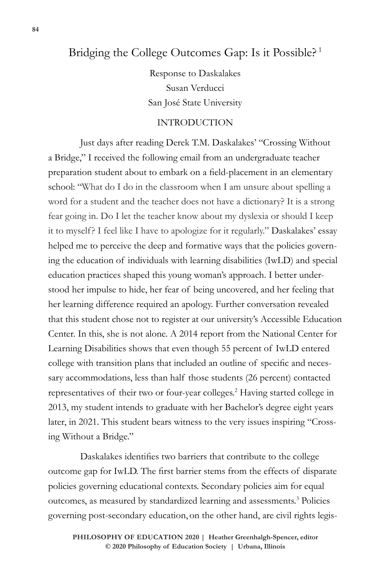## Bridging the College Outcomes Gap: Is it Possible?<sup>1</sup>

Response to Daskalakes Susan Verducci San José State University

## INTRODUCTION

Just days after reading Derek T.M. Daskalakes' "Crossing Without a Bridge," I received the following email from an undergraduate teacher preparation student about to embark on a field-placement in an elementary school: "What do I do in the classroom when I am unsure about spelling a word for a student and the teacher does not have a dictionary? It is a strong fear going in. Do I let the teacher know about my dyslexia or should I keep it to myself? I feel like I have to apologize for it regularly." Daskalakes' essay helped me to perceive the deep and formative ways that the policies governing the education of individuals with learning disabilities (IwLD) and special education practices shaped this young woman's approach. I better understood her impulse to hide, her fear of being uncovered, and her feeling that her learning difference required an apology. Further conversation revealed that this student chose not to register at our university's Accessible Education Center. In this, she is not alone. A 2014 report from the National Center for Learning Disabilities shows that even though 55 percent of IwLD entered college with transition plans that included an outline of specific and necessary accommodations, less than half those students (26 percent) contacted representatives of their two or four-year colleges.<sup>2</sup> Having started college in 2013, my student intends to graduate with her Bachelor's degree eight years later, in 2021. This student bears witness to the very issues inspiring "Crossing Without a Bridge."

Daskalakes identifies two barriers that contribute to the college outcome gap for IwLD. The first barrier stems from the effects of disparate policies governing educational contexts. Secondary policies aim for equal outcomes, as measured by standardized learning and assessments.<sup>3</sup> Policies governing post-secondary education, on the other hand, are civil rights legis-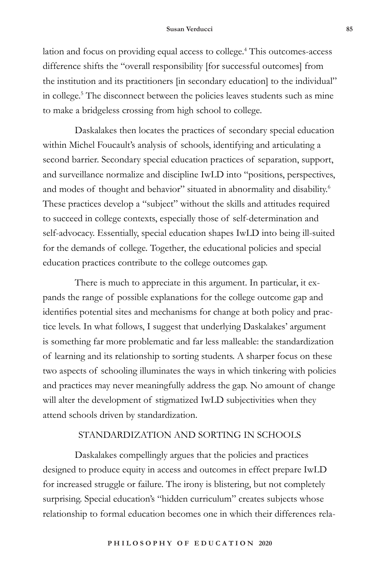lation and focus on providing equal access to college.4 This outcomes-access difference shifts the "overall responsibility [for successful outcomes] from the institution and its practitioners [in secondary education] to the individual" in college.5 The disconnect between the policies leaves students such as mine to make a bridgeless crossing from high school to college.

Daskalakes then locates the practices of secondary special education within Michel Foucault's analysis of schools, identifying and articulating a second barrier. Secondary special education practices of separation, support, and surveillance normalize and discipline IwLD into "positions, perspectives, and modes of thought and behavior" situated in abnormality and disability.<sup>6</sup> These practices develop a "subject" without the skills and attitudes required to succeed in college contexts, especially those of self-determination and self-advocacy. Essentially, special education shapes IwLD into being ill-suited for the demands of college. Together, the educational policies and special education practices contribute to the college outcomes gap.

There is much to appreciate in this argument. In particular, it expands the range of possible explanations for the college outcome gap and identifies potential sites and mechanisms for change at both policy and practice levels. In what follows, I suggest that underlying Daskalakes' argument is something far more problematic and far less malleable: the standardization of learning and its relationship to sorting students. A sharper focus on these two aspects of schooling illuminates the ways in which tinkering with policies and practices may never meaningfully address the gap. No amount of change will alter the development of stigmatized IwLD subjectivities when they attend schools driven by standardization.

## STANDARDIZATION AND SORTING IN SCHOOLS

Daskalakes compellingly argues that the policies and practices designed to produce equity in access and outcomes in effect prepare IwLD for increased struggle or failure. The irony is blistering, but not completely surprising. Special education's "hidden curriculum" creates subjects whose relationship to formal education becomes one in which their differences rela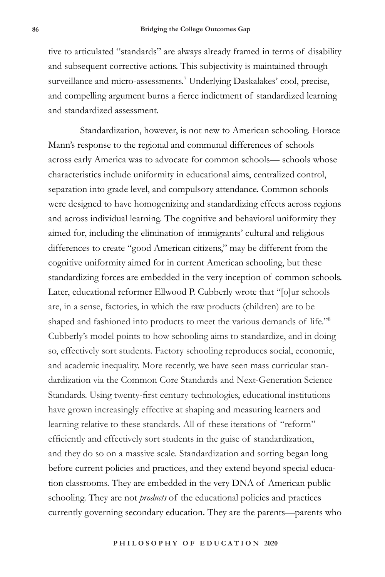tive to articulated "standards" are always already framed in terms of disability and subsequent corrective actions. This subjectivity is maintained through surveillance and micro-assessments.<sup>7</sup> Underlying Daskalakes' cool, precise, and compelling argument burns a fierce indictment of standardized learning and standardized assessment.

Standardization, however, is not new to American schooling. Horace Mann's response to the regional and communal differences of schools across early America was to advocate for common schools— schools whose characteristics include uniformity in educational aims, centralized control, separation into grade level, and compulsory attendance. Common schools were designed to have homogenizing and standardizing effects across regions and across individual learning. The cognitive and behavioral uniformity they aimed for, including the elimination of immigrants' cultural and religious differences to create "good American citizens," may be different from the cognitive uniformity aimed for in current American schooling, but these standardizing forces are embedded in the very inception of common schools. Later, educational reformer Ellwood P. Cubberly wrote that "[o]ur schools are, in a sense, factories, in which the raw products (children) are to be shaped and fashioned into products to meet the various demands of life."<sup>8</sup> Cubberly's model points to how schooling aims to standardize, and in doing so, effectively sort students. Factory schooling reproduces social, economic, and academic inequality. More recently, we have seen mass curricular standardization via the Common Core Standards and Next-Generation Science Standards. Using twenty-first century technologies, educational institutions have grown increasingly effective at shaping and measuring learners and learning relative to these standards. All of these iterations of "reform" efficiently and effectively sort students in the guise of standardization, and they do so on a massive scale. Standardization and sorting began long before current policies and practices, and they extend beyond special education classrooms. They are embedded in the very DNA of American public schooling. They are not *products* of the educational policies and practices currently governing secondary education. They are the parents—parents who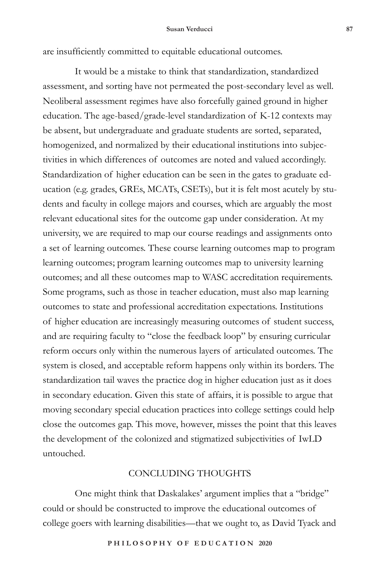are insufficiently committed to equitable educational outcomes.

It would be a mistake to think that standardization, standardized assessment, and sorting have not permeated the post-secondary level as well. Neoliberal assessment regimes have also forcefully gained ground in higher education. The age-based/grade-level standardization of K-12 contexts may be absent, but undergraduate and graduate students are sorted, separated, homogenized, and normalized by their educational institutions into subjectivities in which differences of outcomes are noted and valued accordingly. Standardization of higher education can be seen in the gates to graduate education (e.g. grades, GREs, MCATs, CSETs), but it is felt most acutely by students and faculty in college majors and courses, which are arguably the most relevant educational sites for the outcome gap under consideration. At my university, we are required to map our course readings and assignments onto a set of learning outcomes. These course learning outcomes map to program learning outcomes; program learning outcomes map to university learning outcomes; and all these outcomes map to WASC accreditation requirements. Some programs, such as those in teacher education, must also map learning outcomes to state and professional accreditation expectations. Institutions of higher education are increasingly measuring outcomes of student success, and are requiring faculty to "close the feedback loop" by ensuring curricular reform occurs only within the numerous layers of articulated outcomes. The system is closed, and acceptable reform happens only within its borders. The standardization tail waves the practice dog in higher education just as it does in secondary education. Given this state of affairs, it is possible to argue that moving secondary special education practices into college settings could help close the outcomes gap. This move, however, misses the point that this leaves the development of the colonized and stigmatized subjectivities of IwLD untouched.

## CONCLUDING THOUGHTS

One might think that Daskalakes' argument implies that a "bridge" could or should be constructed to improve the educational outcomes of college goers with learning disabilities—that we ought to, as David Tyack and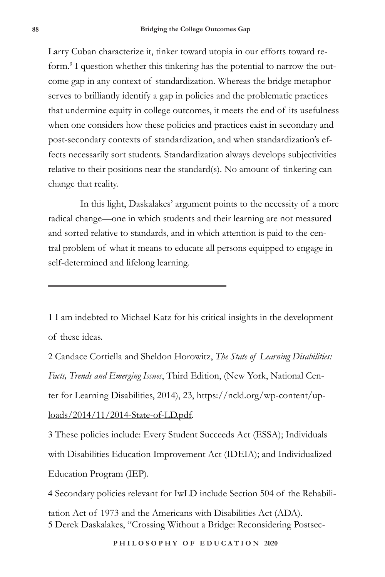Larry Cuban characterize it, tinker toward utopia in our efforts toward reform.<sup>9</sup> I question whether this tinkering has the potential to narrow the outcome gap in any context of standardization. Whereas the bridge metaphor serves to brilliantly identify a gap in policies and the problematic practices that undermine equity in college outcomes, it meets the end of its usefulness when one considers how these policies and practices exist in secondary and post-secondary contexts of standardization, and when standardization's effects necessarily sort students. Standardization always develops subjectivities relative to their positions near the standard(s). No amount of tinkering can change that reality.

In this light, Daskalakes' argument points to the necessity of a more radical change—one in which students and their learning are not measured and sorted relative to standards, and in which attention is paid to the central problem of what it means to educate all persons equipped to engage in self-determined and lifelong learning.

1 I am indebted to Michael Katz for his critical insights in the development of these ideas.

2 Candace Cortiella and Sheldon Horowitz, *The State of Learning Disabilities: Facts, Trends and Emerging Issues*, Third Edition, (New York, National Center for Learning Disabilities, 2014), 23, https://ncld.org/wp-content/uploads/2014/11/2014-State-of-LD.pdf.

3 These policies include: Every Student Succeeds Act (ESSA); Individuals with Disabilities Education Improvement Act (IDEIA); and Individualized Education Program (IEP).

4 Secondary policies relevant for IwLD include Section 504 of the Rehabili-

tation Act of 1973 and the Americans with Disabilities Act (ADA). 5 Derek Daskalakes, "Crossing Without a Bridge: Reconsidering Postsec